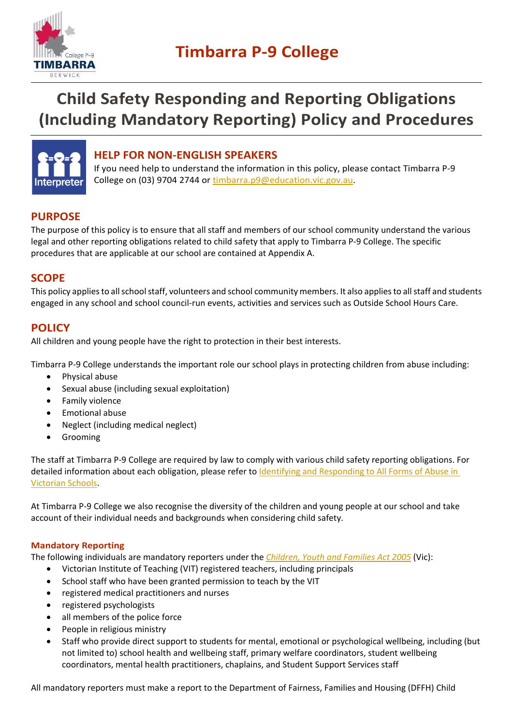

# **Child Safety Responding and Reporting Obligations (Including Mandatory Reporting) Policy and Procedures**



### **HELP FOR NON-ENGLISH SPEAKERS**

If you need help to understand the information in this policy, please contact Timbarra P-9 College on (03) 9704 2744 or [timbarra.p9@education.vic.gov.au.](mailto:timbarra.p9@education.vic.gov.au)

## **PURPOSE**

The purpose of this policy is to ensure that all staff and members of our school community understand the various legal and other reporting obligations related to child safety that apply to Timbarra P-9 College. The specific procedures that are applicable at our school are contained at Appendix A.

### **SCOPE**

This policy applies to all school staff, volunteers and school community members. It also applies to all staff and students engaged in any school and school council-run events, activities and services such as Outside School Hours Care.

### **POLICY**

All children and young people have the right to protection in their best interests.

Timbarra P-9 College understands the important role our school plays in protecting children from abuse including:

- Physical abuse
- Sexual abuse (including sexual exploitation)
- Family violence
- Emotional abuse
- Neglect (including medical neglect)
- Grooming

The staff at Timbarra P-9 College are required by law to comply with various child safety reporting obligations. For detailed information about each obligation, please refer to Identifying and Responding to All Forms of Abuse in [Victorian Schools.](https://www.education.vic.gov.au/Documents/about/programs/health/protect/ChildSafeStandard5_SchoolsGuide.pdf)

At Timbarra P-9 College we also recognise the diversity of the children and young people at our school and take account of their individual needs and backgrounds when considering child safety.

### **Mandatory Reporting**

The following individuals are mandatory reporters under the *[Children, Youth and Families Act 2005](https://www.legislation.vic.gov.au/in-force/acts/children-youth-and-families-act-2005/)* (Vic):

- Victorian Institute of Teaching (VIT) registered teachers, including principals
- School staff who have been granted permission to teach by the VIT
- registered medical practitioners and nurses
- registered psychologists
- all members of the police force
- People in religious ministry
- Staff who provide direct support to students for mental, emotional or psychological wellbeing, including (but not limited to) school health and wellbeing staff, primary welfare coordinators, student wellbeing coordinators, mental health practitioners, chaplains, and Student Support Services staff

All mandatory reporters must make a report to the Department of Fairness, Families and Housing (DFFH) Child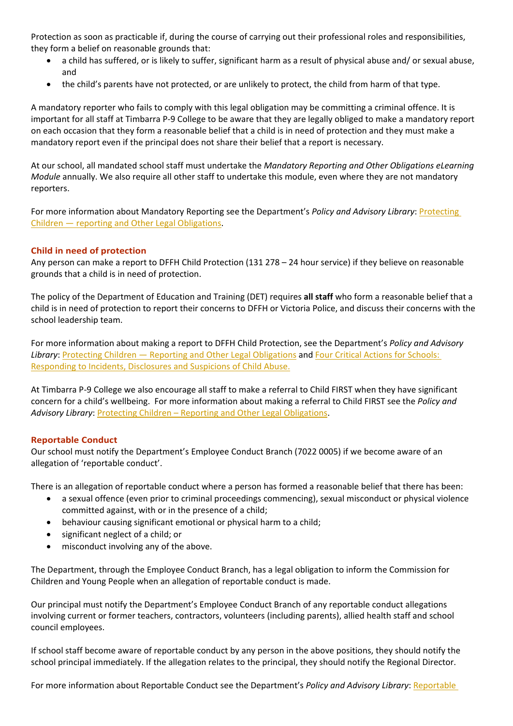Protection as soon as practicable if, during the course of carrying out their professional roles and responsibilities, they form a belief on reasonable grounds that:

- a child has suffered, or is likely to suffer, significant harm as a result of physical abuse and/ or sexual abuse, and
- the child's parents have not protected, or are unlikely to protect, the child from harm of that type.

A mandatory reporter who fails to comply with this legal obligation may be committing a criminal offence. It is important for all staff at Timbarra P-9 College to be aware that they are legally obliged to make a mandatory report on each occasion that they form a reasonable belief that a child is in need of protection and they must make a mandatory report even if the principal does not share their belief that a report is necessary.

At our school, all mandated school staff must undertake the *Mandatory Reporting and Other Obligations eLearning Module* annually. We also require all other staff to undertake this module, even where they are not mandatory reporters.

For more information about Mandatory Reporting see the Department's *Policy and Advisory Library*: *Protecting* Children — reporting [and Other Legal Obligations.](https://www2.education.vic.gov.au/pal/protecting-children/policy)

### **Child in need of protection**

Any person can make a report to DFFH Child Protection (131 278 – 24 hour service) if they believe on reasonable grounds that a child is in need of protection.

The policy of the Department of Education and Training (DET) requires **all staff** who form a reasonable belief that a child is in need of protection to report their concerns to DFFH or Victoria Police, and discuss their concerns with the school leadership team.

For more information about making a report to DFFH Child Protection, see the Department's *Policy and Advisory Library*: [Protecting Children — Reporting and Other Legal Obligations](https://www2.education.vic.gov.au/pal/protecting-children/policy) and [Four Critical Actions for Schools:](https://www.education.vic.gov.au/Documents/about/programs/health/protect/FourCriticalActions_ChildAbuse.pdf)  [Responding to Incidents, Disclosures and Suspicions of Child Abuse.](https://www.education.vic.gov.au/Documents/about/programs/health/protect/FourCriticalActions_ChildAbuse.pdf) 

At Timbarra P-9 College we also encourage all staff to make a referral to Child FIRST when they have significant concern for a child's wellbeing. For more information about making a referral to Child FIRST see the *Policy and Advisory Library*: [Protecting Children – Reporting and Other Legal Obligations.](https://www2.education.vic.gov.au/pal/protecting-children/policy)

#### **Reportable Conduct**

Our school must notify the Department's Employee Conduct Branch (7022 0005) if we become aware of an allegation of 'reportable conduct'.

There is an allegation of reportable conduct where a person has formed a reasonable belief that there has been:

- a sexual offence (even prior to criminal proceedings commencing), sexual misconduct or physical violence committed against, with or in the presence of a child;
- behaviour causing significant emotional or physical harm to a child;
- significant neglect of a child; or
- misconduct involving any of the above.

The Department, through the Employee Conduct Branch, has a legal obligation to inform the Commission for Children and Young People when an allegation of reportable conduct is made.

Our principal must notify the Department's Employee Conduct Branch of any reportable conduct allegations involving current or former teachers, contractors, volunteers (including parents), allied health staff and school council employees.

If school staff become aware of reportable conduct by any person in the above positions, they should notify the school principal immediately. If the allegation relates to the principal, they should notify the Regional Director.

For more information about Reportable Conduct see the Department's *Policy and Advisory Library*: [Reportable](https://www2.education.vic.gov.au/pal/reportable-conduct-scheme/policy)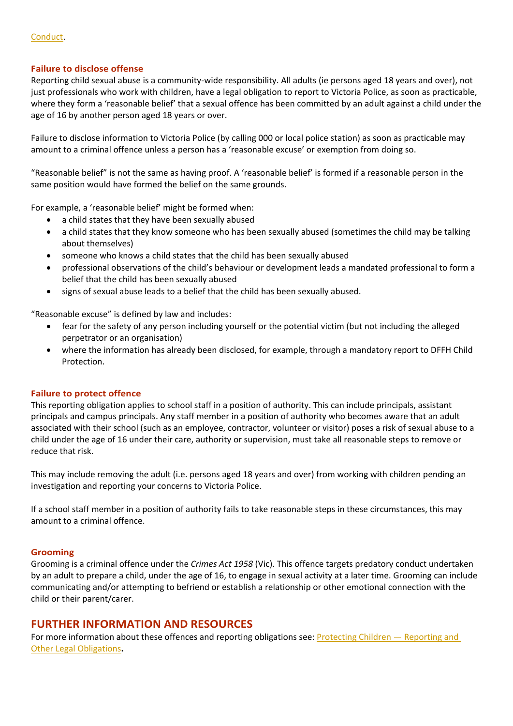### **Failure to disclose offense**

Reporting child sexual abuse is a community-wide responsibility. All adults (ie persons aged 18 years and over), not just professionals who work with children, have a legal obligation to report to Victoria Police, as soon as practicable, where they form a 'reasonable belief' that a sexual offence has been committed by an adult against a child under the age of 16 by another person aged 18 years or over.

Failure to disclose information to Victoria Police (by calling 000 or local police station) as soon as practicable may amount to a criminal offence unless a person has a 'reasonable excuse' or exemption from doing so.

"Reasonable belief" is not the same as having proof. A 'reasonable belief' is formed if a reasonable person in the same position would have formed the belief on the same grounds.

For example, a 'reasonable belief' might be formed when:

- a child states that they have been sexually abused
- a child states that they know someone who has been sexually abused (sometimes the child may be talking about themselves)
- someone who knows a child states that the child has been sexually abused
- professional observations of the child's behaviour or development leads a mandated professional to form a belief that the child has been sexually abused
- signs of sexual abuse leads to a belief that the child has been sexually abused.

"Reasonable excuse" is defined by law and includes:

- fear for the safety of any person including yourself or the potential victim (but not including the alleged perpetrator or an organisation)
- where the information has already been disclosed, for example, through a mandatory report to DFFH Child Protection.

#### **Failure to protect offence**

This reporting obligation applies to school staff in a position of authority. This can include principals, assistant principals and campus principals. Any staff member in a position of authority who becomes aware that an adult associated with their school (such as an employee, contractor, volunteer or visitor) poses a risk of sexual abuse to a child under the age of 16 under their care, authority or supervision, must take all reasonable steps to remove or reduce that risk.

This may include removing the adult (i.e. persons aged 18 years and over) from working with children pending an investigation and reporting your concerns to Victoria Police.

If a school staff member in a position of authority fails to take reasonable steps in these circumstances, this may amount to a criminal offence.

#### **Grooming**

Grooming is a criminal offence under the *Crimes Act 1958* (Vic). This offence targets predatory conduct undertaken by an adult to prepare a child, under the age of 16, to engage in sexual activity at a later time. Grooming can include communicating and/or attempting to befriend or establish a relationship or other emotional connection with the child or their parent/carer.

### **FURTHER INFORMATION AND RESOURCES**

For more information about these offences and reporting obligations see: [Protecting Children — Reporting and](https://www2.education.vic.gov.au/pal/protecting-children/policy)  [Other Legal Obligations](https://www2.education.vic.gov.au/pal/protecting-children/policy)**.**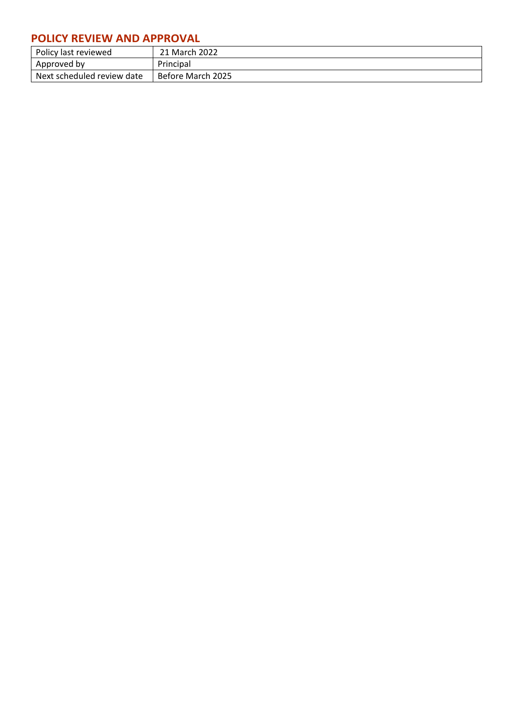## **POLICY REVIEW AND APPROVAL**

| Policy last reviewed       | 21 March 2022     |
|----------------------------|-------------------|
| Approved by                | Principal         |
| Next scheduled review date | Before March 2025 |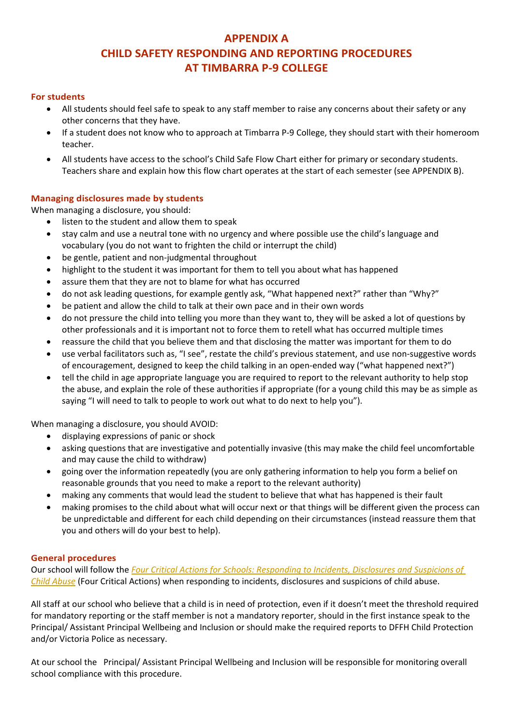### **APPENDIX A CHILD SAFETY RESPONDING AND REPORTING PROCEDURES AT TIMBARRA P-9 COLLEGE**

#### **For students**

- All students should feel safe to speak to any staff member to raise any concerns about their safety or any other concerns that they have.
- If a student does not know who to approach at Timbarra P-9 College, they should start with their homeroom teacher.
- All students have access to the school's Child Safe Flow Chart either for primary or secondary students. Teachers share and explain how this flow chart operates at the start of each semester (see APPENDIX B).

### **Managing disclosures made by students**

When managing a disclosure, you should:

- listen to the student and allow them to speak
- stay calm and use a neutral tone with no urgency and where possible use the child's language and vocabulary (you do not want to frighten the child or interrupt the child)
- be gentle, patient and non-judgmental throughout
- highlight to the student it was important for them to tell you about what has happened
- assure them that they are not to blame for what has occurred
- do not ask leading questions, for example gently ask, "What happened next?" rather than "Why?"
- be patient and allow the child to talk at their own pace and in their own words
- do not pressure the child into telling you more than they want to, they will be asked a lot of questions by other professionals and it is important not to force them to retell what has occurred multiple times
- reassure the child that you believe them and that disclosing the matter was important for them to do
- use verbal facilitators such as, "I see", restate the child's previous statement, and use non-suggestive words of encouragement, designed to keep the child talking in an open-ended way ("what happened next?")
- tell the child in age appropriate language you are required to report to the relevant authority to help stop the abuse, and explain the role of these authorities if appropriate (for a young child this may be as simple as saying "I will need to talk to people to work out what to do next to help you").

When managing a disclosure, you should AVOID:

- displaying expressions of panic or shock
- asking questions that are investigative and potentially invasive (this may make the child feel uncomfortable and may cause the child to withdraw)
- going over the information repeatedly (you are only gathering information to help you form a belief on reasonable grounds that you need to make a report to the relevant authority)
- making any comments that would lead the student to believe that what has happened is their fault
- making promises to the child about what will occur next or that things will be different given the process can be unpredictable and different for each child depending on their circumstances (instead reassure them that you and others will do your best to help).

#### **General procedures**

Our school will follow the *[Four Critical Actions for Schools: Responding to Incidents, Disclosures and Suspicions of](https://www.education.vic.gov.au/Documents/about/programs/health/protect/FourCriticalActions_ChildAbuse.pdf)  [Child Abuse](https://www.education.vic.gov.au/Documents/about/programs/health/protect/FourCriticalActions_ChildAbuse.pdf)* (Four Critical Actions) when responding to incidents, disclosures and suspicions of child abuse.

All staff at our school who believe that a child is in need of protection, even if it doesn't meet the threshold required for mandatory reporting or the staff member is not a mandatory reporter, should in the first instance speak to the Principal/ Assistant Principal Wellbeing and Inclusion or should make the required reports to DFFH Child Protection and/or Victoria Police as necessary.

At our school the Principal/ Assistant Principal Wellbeing and Inclusion will be responsible for monitoring overall school compliance with this procedure.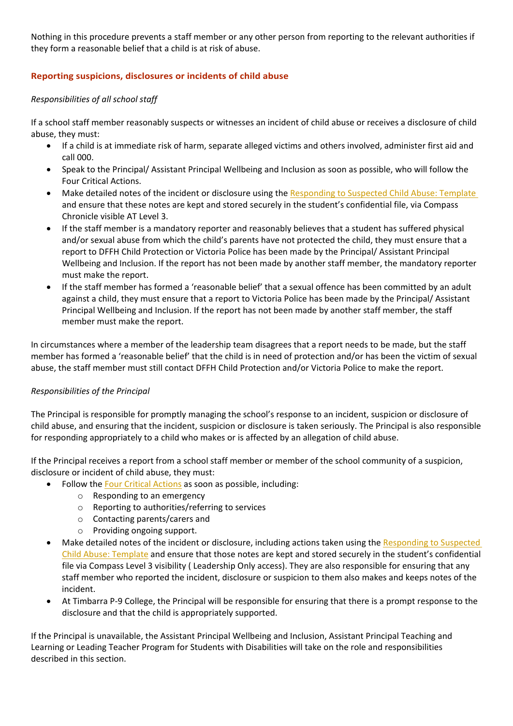Nothing in this procedure prevents a staff member or any other person from reporting to the relevant authorities if they form a reasonable belief that a child is at risk of abuse.

### **Reporting suspicions, disclosures or incidents of child abuse**

### *Responsibilities of all school staff*

If a school staff member reasonably suspects or witnesses an incident of child abuse or receives a disclosure of child abuse, they must:

- If a child is at immediate risk of harm, separate alleged victims and others involved, administer first aid and call 000.
- Speak to the Principal/ Assistant Principal Wellbeing and Inclusion as soon as possible, who will follow the Four Critical Actions.
- Make detailed notes of the incident or disclosure using the [Responding to Suspected Child Abuse: Template](https://www.education.vic.gov.au/Documents/about/programs/health/protect/PROTECT_Schoolstemplate.pdf) and ensure that these notes are kept and stored securely in the student's confidential file, via Compass Chronicle visible AT Level 3.
- If the staff member is a mandatory reporter and reasonably believes that a student has suffered physical and/or sexual abuse from which the child's parents have not protected the child, they must ensure that a report to DFFH Child Protection or Victoria Police has been made by the Principal/ Assistant Principal Wellbeing and Inclusion. If the report has not been made by another staff member, the mandatory reporter must make the report.
- If the staff member has formed a 'reasonable belief' that a sexual offence has been committed by an adult against a child, they must ensure that a report to Victoria Police has been made by the Principal/ Assistant Principal Wellbeing and Inclusion. If the report has not been made by another staff member, the staff member must make the report.

In circumstances where a member of the leadership team disagrees that a report needs to be made, but the staff member has formed a 'reasonable belief' that the child is in need of protection and/or has been the victim of sexual abuse, the staff member must still contact DFFH Child Protection and/or Victoria Police to make the report.

### *Responsibilities of the Principal*

The Principal is responsible for promptly managing the school's response to an incident, suspicion or disclosure of child abuse, and ensuring that the incident, suspicion or disclosure is taken seriously. The Principal is also responsible for responding appropriately to a child who makes or is affected by an allegation of child abuse.

If the Principal receives a report from a school staff member or member of the school community of a suspicion, disclosure or incident of child abuse, they must:

- Follow the [Four Critical Actions](https://www.education.vic.gov.au/Documents/about/programs/health/protect/FourCriticalActions_ChildAbuse.pdf) as soon as possible, including:
	- o Responding to an emergency
	- o Reporting to authorities/referring to services
	- o Contacting parents/carers and
	- o Providing ongoing support.
- Make detailed notes of the incident or disclosure, including actions taken using the Responding to Suspected [Child Abuse: Template](https://www.education.vic.gov.au/Documents/about/programs/health/protect/PROTECT_Schoolstemplate.pdf) and ensure that those notes are kept and stored securely in the student's confidential file via Compass Level 3 visibility ( Leadership Only access). They are also responsible for ensuring that any staff member who reported the incident, disclosure or suspicion to them also makes and keeps notes of the incident.
- At Timbarra P-9 College, the Principal will be responsible for ensuring that there is a prompt response to the disclosure and that the child is appropriately supported.

If the Principal is unavailable, the Assistant Principal Wellbeing and Inclusion, Assistant Principal Teaching and Learning or Leading Teacher Program for Students with Disabilities will take on the role and responsibilities described in this section.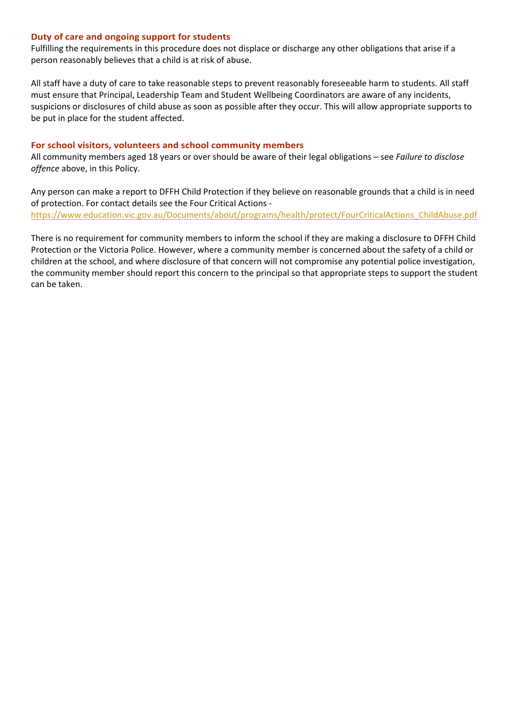#### **Duty of care and ongoing support for students**

Fulfilling the requirements in this procedure does not displace or discharge any other obligations that arise if a person reasonably believes that a child is at risk of abuse.

All staff have a duty of care to take reasonable steps to prevent reasonably foreseeable harm to students. All staff must ensure that Principal, Leadership Team and Student Wellbeing Coordinators are aware of any incidents, suspicions or disclosures of child abuse as soon as possible after they occur. This will allow appropriate supports to be put in place for the student affected.

#### **For school visitors, volunteers and school community members**

All community members aged 18 years or over should be aware of their legal obligations – see *Failure to disclose offence* above, in this Policy.

Any person can make a report to DFFH Child Protection if they believe on reasonable grounds that a child is in need of protection. For contact details see the Four Critical Actions [https://www.education.vic.gov.au/Documents/about/programs/health/protect/FourCriticalActions\\_ChildAbuse.pdf](https://www.education.vic.gov.au/Documents/about/programs/health/protect/FourCriticalActions_ChildAbuse.pdf) 

There is no requirement for community members to inform the school if they are making a disclosure to DFFH Child Protection or the Victoria Police. However, where a community member is concerned about the safety of a child or children at the school, and where disclosure of that concern will not compromise any potential police investigation, the community member should report this concern to the principal so that appropriate steps to support the student can be taken.